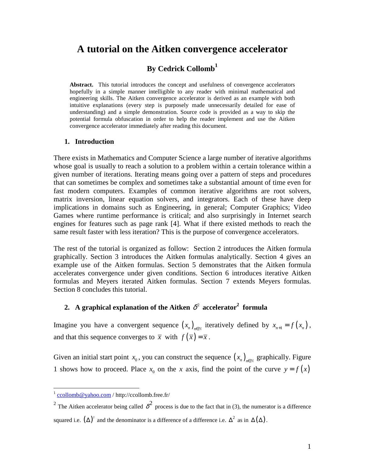# **A tutorial on the Aitken convergence accelerator**

# **By Cedrick Collomb<sup>1</sup>**

**Abstract.** This tutorial introduces the concept and usefulness of convergence accelerators hopefully in a simple manner intelligible to any reader with minimal mathematical and engineering skills. The Aitken convergence accelerator is derived as an example with both intuitive explanations (every step is purposely made unnecessarily detailed for ease of understanding) and a simple demonstration. Source code is provided as a way to skip the potential formula obfuscation in order to help the reader implement and use the Aitken convergence accelerator immediately after reading this document.

#### **1. Introduction**

There exists in Mathematics and Computer Science a large number of iterative algorithms whose goal is usually to reach a solution to a problem within a certain tolerance within a given number of iterations. Iterating means going over a pattern of steps and procedures that can sometimes be complex and sometimes take a substantial amount of time even for fast modern computers. Examples of common iterative algorithms are root solvers, matrix inversion, linear equation solvers, and integrators. Each of these have deep implications in domains such as Engineering, in general; Computer Graphics; Video Games where runtime performance is critical; and also surprisingly in Internet search engines for features such as page rank [4]. What if there existed methods to reach the same result faster with less iteration? This is the purpose of convergence accelerators.

The rest of the tutorial is organized as follow: Section 2 introduces the Aitken formula graphically. Section 3 introduces the Aitken formulas analytically. Section 4 gives an example use of the Aitken formulas. Section 5 demonstrates that the Aitken formula accelerates convergence under given conditions. Section 6 introduces iterative Aitken formulas and Meyers iterated Aitken formulas. Section 7 extends Meyers formulas. Section 8 concludes this tutorial.

## **2.** A graphical explanation of the Aitken  $\delta^2$  accelerator<sup>2</sup> formula

Imagine you have a convergent sequence  $(x_n)_{n \in \mathbb{N}}$  iteratively defined by  $x_{n+1} = f(x_n)$ , and that this sequence converges to  $\bar{x}$  with  $f(\bar{x}) = \bar{x}$ .

Given an initial start point  $x_0$ , you can construct the sequence  $(x_n)_{n \in \mathbb{N}}$  graphically. Figure 1 shows how to proceed. Place  $x_0$  on the *x* axis, find the point of the curve  $y = f(x)$ 

 1 ccollomb@yahoo.com / http://ccollomb.free.fr/

<sup>&</sup>lt;sup>2</sup> The Aitken accelerator being called  $\delta^2$  process is due to the fact that in (3), the numerator is a difference squared i.e.  $(\Delta)^2$  and the denominator is a difference of a difference i.e.  $\Delta^2$  as in  $\Delta(\Delta)$ .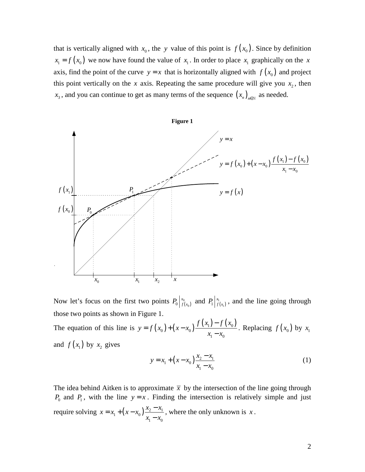that is vertically aligned with  $x_0$ , the *y* value of this point is  $f(x_0)$ . Since by definition  $x_1 = f(x_0)$  we now have found the value of  $x_1$ . In order to place  $x_1$  graphically on the *x* axis, find the point of the curve  $y = x$  that is horizontally aligned with  $f(x_0)$  and project this point vertically on the *x* axis. Repeating the same procedure will give you  $x_2$ , then  $x_3$ , and you can continue to get as many terms of the sequence  $(x_n)_{n \in \mathbb{N}}$  as needed.



Now let's focus on the first two points  $P_0 \big|_{f(x_0)}^{x_0}$  $0 \mid f(x_0)$  $P_0$   $\begin{bmatrix} x_0 \\ f(x_0) \end{bmatrix}$  and  $P_1$   $\begin{bmatrix} x_1 \\ f(x_1) \end{bmatrix}$  $1 \mid f(x_1)$  $P_1 \big|_{f(x_1)}^{x_1}$ , and the line going through those two points as shown in Figure 1.

The equation of this line is  $y = f(x_0) + (x - x_0) \frac{f(x_1) - f(x_0)}{x_0 - x_0}$ 1  $\lambda_0$  $f(x_1) - f(x)$  $y = f(x_0) + (x - x)$  $x_1 - x$ −  $= f(x_0) + (x \frac{f(x_0)}{-x_0}$ . Replacing  $f(x_0)$  by  $x_1$ and  $f(x_1)$  by  $x_2$  gives

$$
y = x_1 + (x - x_0) \frac{x_2 - x_1}{x_1 - x_0}
$$
 (1)

The idea behind Aitken is to approximate  $\bar{x}$  by the intersection of the line going through  $P_0$  and  $P_1$ , with the line  $y = x$ . Finding the intersection is relatively simple and just require solving  $x = x_1 + (x - x_0) \frac{x_2 - x_1}{x_1 - x_0}$ 1  $\mathcal{N}_0$  $x = x_1 + (x - x_0) \frac{x_2 - x_0}{x_2 - x}$  $x_1 - x$  $= x_1 + (x - x_0)^{\frac{x_2 - x_0}{x_2}}$ − , where the only unknown is *x* .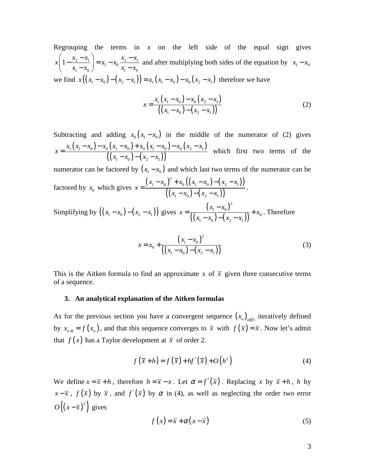Regrouping the terms in  $x$  on the left side of the equal sign gives  $\frac{2-x_1}{2}$  =  $x_1 - x_0 \frac{x_2-x_1}{2}$ 1  $\lambda_0$   $\lambda_1$   $\lambda_0$  $x\left(1 - \frac{x_2 - x_1}{x_2 - x_1}\right) = x_1 - x_0 \frac{x_2 - x_1}{x_2 - x_1}$  $x_1 - x_0$   $\int$   $\frac{1}{1} \frac{x_0}{x_1 - x_0}$  $\left(1 - \frac{x_2 - x_1}{x_2}\right) = x_1 - x_0 \frac{x_2 - x_1}{x_2}$  $\begin{pmatrix} - & x_1 - x_0 \end{pmatrix}$   $\begin{pmatrix} -1 & x_0 \\ x_1 - x_0 \end{pmatrix}$ and after multiplying both sides of the equation by  $x_1 - x_0$ we find  $x((x_1 - x_0) - (x_2 - x_1)) = x_1(x_1 - x_0) - x_0(x_2 - x_1)$  therefore we have

$$
x = \frac{x_1(x_1 - x_0) - x_0(x_2 - x_1)}{((x_1 - x_0) - (x_2 - x_1))}
$$
 (2)

Subtracting and adding  $x_0(x_1 - x_0)$  in the middle of the numerator of (2) gives  $(x_1 - x_0) - x_0 (x_1 - x_0) + x_0 (x_1 - x_0) - x_0 (x_2 - x_1)$  $\frac{1}{\sqrt{1-x_0-x_0-x_0-x_0-x_0-x_0-x_0-x_0-x_0-x_1}}$ <br>(  $(x_1-x_0)-(x_2-x_1)$ ) 1  $\lambda_0$   $\lambda_2$   $\lambda_1$  $x_1(x_1 - x_0) - x_0(x_1 - x_0) + x_0(x_1 - x_0) - x_0(x_2 - x_0)$ *x*  $(x_1 - x_0) - (x_2 - x_0)$  $(x_0-x_0) - x_0(x_1-x_0) + x_0(x_1-x_0) - x_0(x_2-x_0)$ =  $(x_0) - (x_2$ which first two terms of the

numerator can be factored by  $(x_1 - x_0)$  and which last two terms of the numerator can be factored by  $x_0$  which gives  $(x_1 - x_0)^2 + x_0 ((x_1 - x_0) - (x_2 - x_1))$  $((x_1 - x_0) - (x_2 - x_1))$ 2 1  $\lambda_0$  1  $\lambda_0$   $\lambda_1$   $\lambda_0$   $\lambda_2$   $\lambda_1$ 1  $\lambda_0$   $\lambda_2$   $\lambda_1$  $(x_1 - x_0)^2 + x_0 ((x_1 - x_0) - (x_2 - x_0))$ *x*  $(x_1 - x_0) - (x_2 - x_0)$  $(x_0)^2 + x_0((x_1 - x_0) - (x_2 -$ =  $(x_0) - (x_2 -$ .

Simplifying by  $((x_1 - x_0) - (x_2 - x_1))$  gives  $x = \frac{(x_1 - x_0)^2}{((x_2 - x_1) - (x_2 - x_1)^2)}$  $((x_1 - x_0) - (x_2 - x_1))$ 2 1  $\lambda_0$ 0 1  $\lambda_0$   $\lambda_1$   $\lambda_2$   $\lambda_1$  $x_1 - x$  $x = \frac{y + x_0}{(x_0 + x_0)^2} + x_0$  $(x_1 - x_0) - (x_2 - x_0)$ −  $=\frac{(v_1-v_0)}{(1-v_0)^2}+$  $(x_0) - (x_2 -$ . Therefore

$$
x = x_0 + \frac{(x_1 - x_0)^2}{((x_1 - x_0) - (x_2 - x_1))}
$$
\n(3)

This is the Aitken formula to find an approximate x of  $\bar{x}$  given three consecutive terms of a sequence.

#### **3. An analytical explanation of the Aitken formulas**

As for the previous section you have a convergent sequence  $(x_n)_{n \in \mathbb{N}}$  iteratively defined by  $x_{n+1} = f(x_n)$ , and that this sequence converges to  $\bar{x}$  with  $f(\bar{x}) = \bar{x}$ . Now let's admit that  $f(x)$  has a Taylor development at  $\bar{x}$  of order 2.

$$
f(\overline{x} + h) = f(\overline{x}) + hf'(\overline{x}) + O(h^2)
$$
 (4)

We define  $x = \overline{x} + h$ , therefore  $h = \overline{x} - x$ . Let  $\alpha = f'(\overline{x})$ . Replacing x by  $\overline{x} + h$ , h by  $x - \overline{x}$ ,  $f(\overline{x})$  by  $\overline{x}$ , and  $f'(\overline{x})$  by  $\alpha$  in (4), as well as neglecting the order two error  $O((x-\overline{x})^2)$  gives

$$
f(x) = \overline{x} + \alpha(x - \overline{x})
$$
 (5)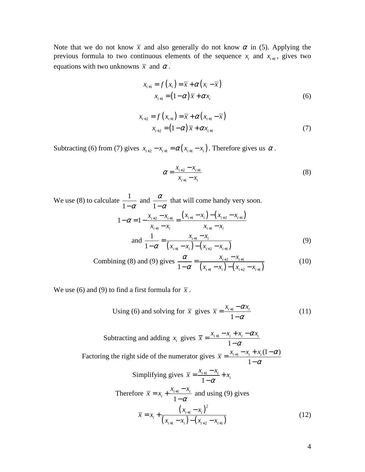Note that we do not know  $\bar{x}$  and also generally do not know  $\alpha$  in (5). Applying the previous formula to two continuous elements of the sequence  $x_i$  and  $x_{i+1}$ , gives two equations with two unknowns  $\bar{x}$  and  $\alpha$ .

$$
x_{i+1} = f(x_i) = \overline{x} + \alpha (x_i - \overline{x})
$$
  

$$
x_{i+1} = (1 - \alpha) \overline{x} + \alpha x_i
$$
 (6)

$$
x_{i+2} = f(x_{i+1}) = \overline{x} + \alpha (x_{i+1} - \overline{x})
$$
  

$$
x_{i+2} = (1 - \alpha) \overline{x} + \alpha x_{i+1}
$$
 (7)

Subtracting (6) from (7) gives  $x_{i+2} - x_{i+1} = \alpha (x_{i+1} - x_i)$ . Therefore gives us  $\alpha$ .

$$
\alpha = \frac{x_{i+2} - x_{i+1}}{x_{i+1} - x_i} \tag{8}
$$

We use (8) to calculate  $\frac{1}{1}$  $1-\alpha$  and 1 α  $-\alpha$ that will come handy very soon.

$$
1 - \alpha = 1 - \frac{x_{i+2} - x_{i+1}}{x_{i+1} - x_i} = \frac{(x_{i+1} - x_i) - (x_{i+2} - x_{i+1})}{x_{i+1} - x_i}
$$
  
and 
$$
\frac{1}{1 - \alpha} = \frac{x_{i+1} - x_i}{(x_{i+1} - x_i) - (x_{i+2} - x_{i+1})}
$$
(9)

Combining (8) and (9) gives 
$$
\frac{\alpha}{1-\alpha} = \frac{x_{i+2} - x_{i+1}}{(x_{i+1} - x_i) - (x_{i+2} - x_{i+1})}
$$
 (10)

We use (6) and (9) to find a first formula for  $\bar{x}$ .

Using (6) and solving for 
$$
\bar{x}
$$
 gives  $\bar{x} = \frac{x_{i+1} - \alpha x_i}{1 - \alpha}$  (11)

Subtracting and adding  $x_i$  gives  $\bar{x} = \frac{x_{i+1}}{x_i}$ 1  $\overline{x} = \frac{x_{i+1} - x_i + x_i - \alpha x_i}{\sigma}$ α  $=\frac{x_{i+1} - x_i + x_i - x_i}{1}$ − Factoring the right side of the numerator gives  $\bar{x} = \frac{x_{i+1} - x_i + x_i(1-\alpha)}{1}$ 1  $\overline{x} = \frac{x_{i+1} - x_i + x_i(1-\alpha)}{n}$ α  $=\frac{x_{i+1} - x_i + x_i(1 -$ − Simplifying gives  $\bar{x} = \frac{x_{i+1}}{1}$ 1  $\frac{i+1}{1}$   $\frac{x_i}{x_i}$  +  $x_i$  $\overline{x} = \frac{x_{i+1} - x_i}{1 - \alpha} + x$  $=\frac{x_{i+1} - x_i}{1} +$ − Therefore  $\bar{x} = x_i + \frac{x_{i+1}}{1}$ 1  $\frac{\lambda_{i+1} - \lambda_i}{1 - \alpha_i}$  $\overline{x} = x_i + \frac{x_{i+1} - x}{1 - \alpha}$  $=x_i + \frac{x_{i+1} - x_{i+1}}{1}$ − and using (9) gives  $(x_{i+1} - x_i)$  $(x_{i+1} - x_i) - (x_{i+2} - x_{i+1})$ 2 1 1  $\lambda_i$   $\lambda_{i+2}$   $\lambda_{i+1}$  $i+1$   $\lambda_i$ *i i*+1  $\mathcal{N}_i$  /  $\mathcal{N}_{i+2}$   $\mathcal{N}_i$  $x_{i+1} - x$  $\overline{x} = x$  $(x_{i+1} - x_i) - (x_{i+2} - x_i)$ +  $+1$   $\lambda_i$   $\lambda_{i+2}$   $\lambda_{i+1}$ −  $= x_i +$  $(x_{i+2} - x_{i}) - (x_{i+2} -$ (12)

4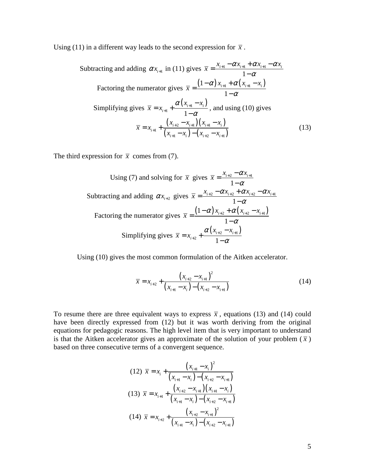Using (11) in a different way leads to the second expression for  $\bar{x}$ .

Subtracting and adding 
$$
\alpha x_{i+1}
$$
 in (11) gives  $\overline{x} = \frac{x_{i+1} - \alpha x_{i+1} + \alpha x_{i+1} - \alpha x_i}{1 - \alpha}$   
\nFactoring the numerator gives  $\overline{x} = \frac{(1 - \alpha) x_{i+1} + \alpha (x_{i+1} - x_i)}{1 - \alpha}$   
\nSimplifying gives  $\overline{x} = x_{i+1} + \frac{\alpha (x_{i+1} - x_i)}{1 - \alpha}$ , and using (10) gives  
\n
$$
\overline{x} = x_{i+1} + \frac{(x_{i+2} - x_{i+1})(x_{i+1} - x_i)}{(x_{i+1} - x_i) - (x_{i+2} - x_{i+1})}
$$
(13)

The third expression for  $\bar{x}$  comes from (7).

Using (7) and solving for 
$$
\overline{x}
$$
 gives  $\overline{x} = \frac{x_{i+2} - \alpha x_{i+1}}{1 - \alpha}$   
\nSubtracting and adding  $\alpha x_{i+2}$  gives  $\overline{x} = \frac{x_{i+2} - \alpha x_{i+2} + \alpha x_{i+2} - \alpha x_{i+1}}{1 - \alpha}$   
\nFactoring the numerator gives  $\overline{x} = \frac{(1 - \alpha) x_{i+2} + \alpha (x_{i+2} - x_{i+1})}{1 - \alpha}$   
\nSimplifying gives  $\overline{x} = x_{i+2} + \frac{\alpha (x_{i+2} - x_{i+1})}{1 - \alpha}$ 

Using (10) gives the most common formulation of the Aitken accelerator.

$$
\overline{x} = x_{i+2} + \frac{(x_{i+2} - x_{i+1})^2}{(x_{i+1} - x_i) - (x_{i+2} - x_{i+1})}
$$
(14)

To resume there are three equivalent ways to express  $\bar{x}$ , equations (13) and (14) could have been directly expressed from (12) but it was worth deriving from the original equations for pedagogic reasons. The high level item that is very important to understand is that the Aitken accelerator gives an approximate of the solution of your problem  $(\bar{x})$ based on three consecutive terms of a convergent sequence.

$$
(12) \ \overline{x} = x_i + \frac{(x_{i+1} - x_i)^2}{(x_{i+1} - x_i) - (x_{i+2} - x_{i+1})}
$$
\n
$$
(13) \ \overline{x} = x_{i+1} + \frac{(x_{i+2} - x_{i+1})(x_{i+1} - x_i)}{(x_{i+1} - x_i) - (x_{i+2} - x_{i+1})}
$$
\n
$$
(14) \ \overline{x} = x_{i+2} + \frac{(x_{i+2} - x_{i+1})^2}{(x_{i+1} - x_i) - (x_{i+2} - x_{i+1})}
$$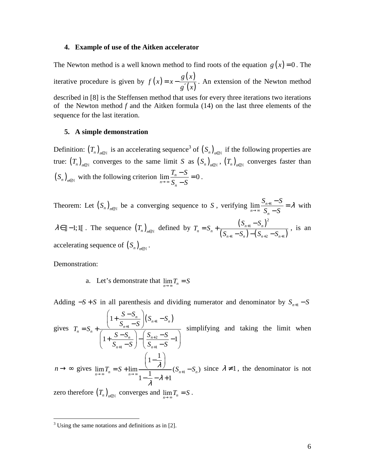#### **4. Example of use of the Aitken accelerator**

The Newton method is a well known method to find roots of the equation  $g(x) = 0$ . The iterative procedure is given by  $f(x) = x - \frac{g(x)}{f(x)}$  $(x)$ *g x f*  $(x) = x$  $= x - \frac{\delta(v)}{g'(x)}$ . An extension of the Newton method described in [8] is the Steffensen method that uses for every three iterations two iterations of the Newton method *f* and the Aitken formula (14) on the last three elements of the sequence for the last iteration.

#### **5. A simple demonstration**

Definition:  $(T_n)_{n \in \mathbb{N}}$  is an accelerating sequence<sup>3</sup> of  $(S_n)_{n \in \mathbb{N}}$  if the following properties are true:  $(T_n)_{n \in \mathbb{N}}$  converges to the same limit *S* as  $(S_n)_{n \in \mathbb{N}}$ ,  $(T_n)_{n \in \mathbb{N}}$  converges faster than  $(S_n)_{n \in \mathbb{N}}$  with the following criterion  $\lim_{n \to \infty} \frac{F_n}{S_n - S} = 0$  $T_n - S$  $\rightarrow \infty$  *S*<sub>n</sub> − *S*  $\frac{-S}{a}$  = − .

Theorem: Let  $(S_n)_{n \in \mathbb{N}}$  be a converging sequence to *S*, verifying  $\lim_{n \to \infty} \frac{S_{n+1}}{S_n}$  $S_{n+1} - S$  $S_n - S$  $\frac{+1}{-} = \lambda$ →∞  $\frac{-S}{\sigma}$  = − with  $\lambda \in ]]-1;1[$ . The sequence  $(T_n)_{n \in \mathbb{N}}$  defined by  $T_n = S_n + \frac{(S_{n+1} - S_n)^2}{(S_n - S_n)(S_n - S_n)}$  $(S_{n+1} - S_n) - (S_{n+2} - S_{n+1})$ 2 1 1  $\cup_{n}$   $\cup_{n+2}$   $\cup_{n+1}$  $n+1$   $\rightarrow$   $n$  $_n - \omega_n$  $n+1$   $\qquad \qquad$  n  $\qquad$   $\qquad$   $\qquad$   $\qquad$   $\qquad$   $\qquad$   $\qquad$   $\qquad$   $\qquad$   $\qquad$   $\qquad$   $\qquad$   $\qquad$   $\qquad$   $\qquad$   $\qquad$   $\qquad$   $\qquad$   $\qquad$   $\qquad$   $\qquad$   $\qquad$   $\qquad$   $\qquad$   $\qquad$   $\qquad$   $\qquad$   $\qquad$   $\qquad$   $\qquad$   $\qquad$   $\qquad$   $\qquad$   $\qquad$   $S_{n+1} - S$  $T_n = S$  $S_{n+1} - S_n$ ) –  $(S_{n+2} - S)$ +  $+1$   $\cup_n$   $\cup_{n+2}$   $\cup_{n+1}$ −  $= S_n +$  $-S_n$ ) –  $(S_{n+2}$  – , is an accelerating sequence of  $(S_n)_{n \in \mathbb{N}}$ .

Demonstration:

<u>.</u>

a. Let's demonstrate that  $\lim_{n \to \infty} T_n = S$ 

Adding  $-S + S$  in all parenthesis and dividing numerator and denominator by  $S_{n+1} - S$ gives  $(S_{n+1} - S_n)$ 1 2  $1 \quad \bullet \quad / \quad \bullet_{n+1}$ 1  $1 + \frac{6}{9} - \frac{6}{9} - \frac{6}{9} - \frac{6}{9} - 1$  $\frac{n}{c}$   $\left| \left( S_{n+1} - S_n \right) \right|$ *n*  $_n - \nu_n$ *n* |  $\frac{n}{n}$  |  $\frac{9n}{n}$  $n+1$   $\cup$   $\cup$   $\cup$   $n$  $\left(\frac{S-S_n}{S-1}\right)(S_{n+1}-S)$  $S_{n+1} - S$  $T_n = S$  $S - S_n$   $\Big|$   $S_{n+2} - S$  $S_{n+1} - S$  |  $S_{n+1} - S$ + + +  $+1$  b)  $\vee$   $n_{+}$  $\begin{pmatrix} S-S_n \end{pmatrix}$  $\left| 1 + \frac{S}{C} \right|_{C} \left| \left( S_{n+1} - \frac{S}{C} \right) \right|$  $\begin{pmatrix} - & S_{n+1} - S \end{pmatrix}$  $= S_n + \frac{S_{n+1} - S_n}{\left(1 + \frac{S - S_n}{S_{n-1}}\right) - \left(\frac{S_{n+2} - S_n}{S_{n-1}}\right)}$  $\left(\begin{array}{cc} S_{n+1}-S \end{array}\right)\left(\begin{array}{c} S_{n+1}-S \end{array}\right)$  simplifying and taking the limit when  $n \to \infty$  gives  $\lim_{n \to \infty} T_n = S + \lim_{n \to \infty} \frac{\lambda}{1}$  (S<sub>n+1</sub>)  $1-\frac{1}{2}$  $\lim_{n\to\infty}T_n=S+\lim_{n\to\infty}\frac{2\lambda}{1-\frac{1}{n}-\lambda+1}(S_{n+1}-S_n)$ λ λ  $\lim_{n \to \infty} I_n = S + \lim_{n \to \infty} I$  ( $\cup_{n+1}$ )  $\left(1-\frac{1}{2}\right)$  $= S + \lim_{n \to \infty} \frac{1}{1 - \lambda} S_{n+1}$  $-\frac{1}{a} - \lambda +$ since  $\lambda \neq 1$ , the denominator is not

zero therefore  $(T_n)_{n \in \mathbb{N}}$  converges and  $\lim_{n \to \infty} T_n = S$ .

 $3$  Using the same notations and definitions as in [2].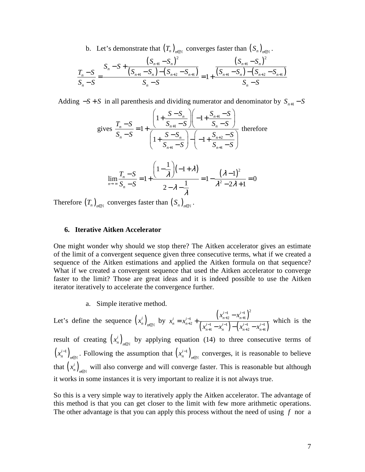b. Let's demonstrate that  $(T_n)_{n \in \mathbb{N}}$  converges faster than  $(S_n)_{n \in \mathbb{N}}$ .

$$
\frac{T_n - S}{S_n - S} = \frac{S_n - S + \frac{(S_{n+1} - S_n)^2}{(S_{n+1} - S_n) - (S_{n+2} - S_{n+1})}}{S_n - S} = 1 + \frac{(S_{n+1} - S_n)^2}{S_n - S}
$$

Adding  $-S + S$  in all parenthesis and dividing numerator and denominator by  $S_{n+1} - S$ 

gives 
$$
\frac{T_n - S}{S_n - S} = 1 + \frac{\left(1 + \frac{S - S_n}{S_{n+1} - S}\right)\left(-1 + \frac{S_{n+1} - S}{S_n - S}\right)}{\left(1 + \frac{S - S_n}{S_{n+1} - S}\right) - \left(-1 + \frac{S_{n+2} - S}{S_{n+1} - S}\right)}
$$
 therefore

$$
\lim_{n \to \infty} \frac{T_n - S}{S_n - S} = 1 + \frac{\left(1 - \frac{1}{\lambda}\right)(-1 + \lambda)}{2 - \lambda - \frac{1}{\lambda}} = 1 - \frac{(\lambda - 1)^2}{\lambda^2 - 2\lambda + 1} = 0
$$

Therefore  $(T_n)_{n \in \mathbb{N}}$  converges faster than  $(S_n)_{n \in \mathbb{N}}$ .

#### **6. Iterative Aitken Accelerator**

One might wonder why should we stop there? The Aitken accelerator gives an estimate of the limit of a convergent sequence given three consecutive terms, what if we created a sequence of the Aitken estimations and applied the Aitken formula on that sequence? What if we created a convergent sequence that used the Aitken accelerator to converge faster to the limit? Those are great ideas and it is indeed possible to use the Aitken iterator iteratively to accelerate the convergence further.

a. Simple iterative method.

Let's define the sequence  $(x_n^i)$  $\left(x_{n+2}^{i-1} - x_{n+1}^{i-1}\right)$ <br> *n*<sub>EN</sub> by  $x_n^i = x_{n+2}^{i-1} + \frac{\left(x_{n+2}^{i-1} - x_{n+1}^{i-1}\right)}{\left(x_i^{i-1} - x_{n+1}^{i-1}\right) - \left(x_i^{i-1}\right)}$  $\left( x_{n+1}^{i-1} - x_n^{i-1} \right) - \left( x_{n+2}^{i-1} - x_{n+1}^{i-1} \right)$ 1  $\mu^{i-1}$   $\lambda^2$ 1  $\lambda_{n+2}$   $\lambda_{n+1}$  $2^{i}$   $\left( \begin{array}{cc} i^{-1} & i^{-1} \end{array} \right)$   $\left( \begin{array}{cc} i^{-1} & i^{-1} \end{array} \right)$ 1  $\lambda_n$   $\lambda_{n+2}$   $\lambda_{n+1}$  $i-1$   $\lambda$ <sup>*i*</sup>  $i = r^{i-1}$   $\lambda_{n+2}$   $\lambda_n$  $n - \lambda_{n+2}$   $\left( \begin{array}{cc} i-1 & i \end{array} \right)$   $\left( \begin{array}{cc} i-1 & i \end{array} \right)$  $n+1$   $\lambda_n$   $\lambda_{n+2}$   $\lambda_n$  $x_{n+2}^{i-1} - x$  $x_n^i = x$  $x_{n+1}^{i-1} - x_n^{i-1}$   $- (x_{n+2}^{i-1} - x_n^{i})$  $-1$   $\mathbf{v}^i$  $-1$   $\lambda_{n+2}$   $\lambda_{n+1}$  $^{+2}$   $\left( \begin{array}{cc} -1 & -i \\ 1 & -i \end{array} \right)$   $\left( \begin{array}{cc} -1 & -i \\ -i & -i \end{array} \right)$  $+1$   $\lambda_n$   $\lambda_{n+2}$   $\lambda_{n+1}$ −  $=x_{n+2}^{i-1} +$  $-x_n^{i-1}$ ) –  $(x_{n+2}^{i-1}$  – which is the result of creating  $(x_n^i)$  $\left(x_n^i\right)_{n \in \mathbb{N}}$  by applying equation (14) to three consecutive terms of

 $\left(x_n^{i-1}\right)$  $\left(x_n^{i-1}\right)_n$  $\epsilon_{\in \mathbb{N}}$ . Following the assumption that  $(x_n^{i-1})$ ,  $\left(x_n^{i-1}\right)_n$  $\epsilon_{\text{N}}$  converges, it is reasonable to believe that  $\left(x_n^i\right)$  $x_n^i$ <sub>n</sub> will also converge and will converge faster. This is reasonable but although it works in some instances it is very important to realize it is not always true.

So this is a very simple way to iteratively apply the Aitken accelerator. The advantage of this method is that you can get closer to the limit with few more arithmetic operations. The other advantage is that you can apply this process without the need of using *f* nor a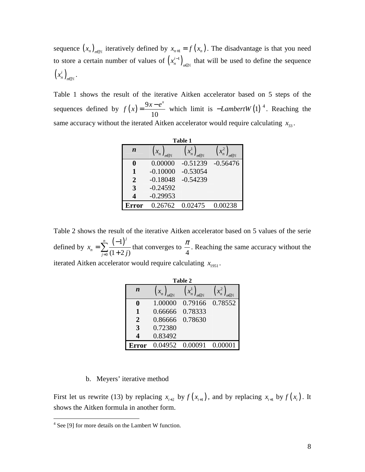sequence  $(x_n)_{n \in \mathbb{N}}$  iteratively defined by  $x_{n+1} = f(x_n)$ . The disadvantage is that you need to store a certain number of values of  $(x_n^{i-1})$  $\left(x_n^{i-1}\right)_n$  $\epsilon_{\mathbb{N}}$  that will be used to define the sequence  $\left(x_n^i\right)_i$  $\left(x_n^i\right)_{n\in\mathbb{N}}$ .

Table 1 shows the result of the iterative Aitken accelerator based on 5 steps of the sequences defined by  $f(x) = \frac{9x-10}{10}$  $f(x) = \frac{9x - e^x}{10}$  which limit is  $-LambertW(1)^4$ . Reaching the same accuracy without the iterated Aitken accelerator would require calculating  $x_{33}$ .

| Table 1          |                      |                      |            |  |  |
|------------------|----------------------|----------------------|------------|--|--|
| $\boldsymbol{n}$ | $\left(x_{n}\right)$ | $\left(x_n^1\right)$ |            |  |  |
| 0                | 0.00000              | $-0.51239$           | $-0.56476$ |  |  |
| 1                | $-0.10000$           | $-0.53054$           |            |  |  |
| $\overline{2}$   | $-0.18048$           | $-0.54239$           |            |  |  |
| 3                | $-0.24592$           |                      |            |  |  |
| $\Delta$         | $-0.29953$           |                      |            |  |  |
| <b>Error</b>     | 0.26762              | 0.02475              | 0.00238    |  |  |

Table 2 shows the result of the iterative Aitken accelerator based on 5 values of the serie defined by  $x_n = \sum_{n=0}^n \frac{(-1)^n}{n!}$ 0 1  $(1 + 2 j)$ *n*  $(-1)^j$ *n j x*  $\frac{1}{a}$   $(1+2j)$ − =  $\sum_{j=0}^{n} \frac{(-1)}{(1+2j)}$  that converges to  $\frac{\pi}{4}$  $\frac{\pi}{4}$ . Reaching the same accuracy without the

iterated Aitken accelerator would require calculating  $x_{1951}$ .

| Table 2          |                          |                      |         |  |  |
|------------------|--------------------------|----------------------|---------|--|--|
| $\boldsymbol{n}$ | $\left(x_{n}\right)_{n}$ | $\left(x_n^1\right)$ |         |  |  |
|                  | 1.00000                  | 0.79166              | 0.78552 |  |  |
| 1                | 0.66666                  | 0.78333              |         |  |  |
| $\overline{2}$   | 0.86666                  | 0.78630              |         |  |  |
| 3                | 0.72380                  |                      |         |  |  |
| 4                | 0.83492                  |                      |         |  |  |
|                  |                          | 0.04952 0.00091      | 0.00001 |  |  |

#### b. Meyers' iterative method

First let us rewrite (13) by replacing  $x_{i+2}$  by  $f(x_{i+1})$ , and by replacing  $x_{i+1}$  by  $f(x_i)$ . It shows the Aitken formula in another form.

<sup>&</sup>lt;sup>4</sup> See [9] for more details on the Lambert W function.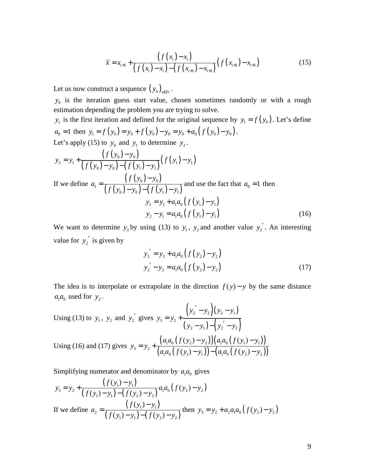$$
\overline{x} = x_{i+1} + \frac{\left(f(x_i) - x_i\right)}{\left(f(x_i) - x_i\right) - \left(f(x_{i+1}) - x_{i+1}\right)} \left(f(x_{i+1}) - x_{i+1}\right) \tag{15}
$$

Let us now construct a sequence  $(y_n)_{n \in \mathbb{N}}$ .

 $y_0$  is the iteration guess start value, chosen sometimes randomly or with a rough estimation depending the problem you are trying to solve.

 $y_1$  is the first iteration and defined for the original sequence by  $y_1 = f(y_0)$ . Let's define  $a_0 = 1$  then  $y_1 = f(y_0) = y_0 + f(y_0) - y_0 = y_0 + a_0 (f(y_0) - y_0)$ . Let's apply (15) to  $y_0$  and  $y_1$  to determine  $y_2$ .

$$
y_2 = y_1 + \frac{(f(y_0) - y_0)}{(f(y_0) - y_0) - (f(y_1) - y_1)} (f(y_1) - y_1)
$$
  
If we define  $a_1 = \frac{(f(y_0) - y_0)}{(f(y_0) - y_0) - (f(y_1) - y_1)}$  and use the fact that  $a_0 = 1$  then  

$$
y_2 = y_1 + a_1 a_0 (f(y_1) - y_1)
$$

$$
y_2 - y_1 = a_1 a_0 (f(y_1) - y_1)
$$
(16)

We want to determine  $y_3$  by using (13) to  $y_1$ ,  $y_2$  and another value  $y_2'$ . An interesting value for  $y_2'$  is given by

$$
y'_{2} = y_{2} + a_{1}a_{0} (f (y_{2}) - y_{2})
$$
  
\n
$$
y'_{2} - y_{2} = a_{1}a_{0} (f (y_{2}) - y_{2})
$$
\n(17)

The idea is to interpolate or extrapolate in the direction  $f(y) - y$  by the same distance  $a_1 a_0$  used for  $y_2$ .

Using (13) to 
$$
y_1
$$
,  $y_2$  and  $y_2'$  gives  $y_3 = y_2 + \frac{(y_2' - y_2)(y_2 - y_1)}{(y_2 - y_1) - (y_2' - y_2)}$   
Using (16) and (17) gives  $y_3 = y_2 + \frac{(a_1a_0(f(y_2) - y_2))(a_1a_0(f(y_1) - y_1))}{(a_1a_0(f(y_1) - y_1)) - (a_1a_0(f(y_2) - y_2))}$ 

Simplifying numerator and denominator by  $a_1 a_0$  gives

$$
y_3 = y_2 + \frac{(f(y_1) - y_1)}{(f(y_1) - y_1) - (f(y_2) - y_2)} a_1 a_0 (f(y_2) - y_2)
$$
  
If we define  $a_2 = \frac{(f(y_1) - y_1)}{(f(y_1) - y_1) - (f(y_2) - y_2)}$  then  $y_3 = y_2 + a_2 a_1 a_0 (f(y_2) - y_2)$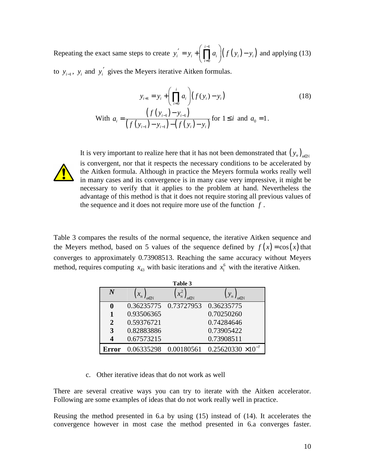Repeating the exact same steps to create  $y'_i = y_i + \left( \prod_{i=1}^{i-1} a_i \right) \left( f(y_i) - y_i \right)$ 0 *i*  $i = y_i$  i **i i**  $\prod_i u_i$   $\mid (J \cup y_i)$   $y_i$ *i*  $y'_i = y_i + | \cdot | \cdot | \cdot | \cdot | \cdot | f(y_i) - y_i$ − =  $y' = y_i + \left(\prod_{i=0}^{i-1} a_i\right) (f(y_i) - y_i)$  and applying (13)

to  $y_{i-1}$ ,  $y_i$  and  $y'_i$  gives the Meyers iterative Aitken formulas.

$$
y_{i+1} = y_i + \left(\prod_{i=0}^i a_i\right) (f(y_i) - y_i)
$$
  
\nWith  $a_i = \frac{\left(f(y_{i-1}) - y_{i-1}\right)}{\left(f(y_{i-1}) - y_{i-1}\right) - \left(f(y_i) - y_i\right)}$  for  $1 \le i$  and  $a_0 = 1$ .

It is very important to realize here that it has not been demonstrated that  $(y_n)_{n\in\mathbb{N}}$ is convergent, nor that it respects the necessary conditions to be accelerated by the Aitken formula. Although in practice the Meyers formula works really well in many cases and its convergence is in many case very impressive, it might be necessary to verify that it applies to the problem at hand. Nevertheless the advantage of this method is that it does not require storing all previous values of the sequence and it does not require more use of the function *f* .

Table 3 compares the results of the normal sequence, the iterative Aitken sequence and the Meyers method, based on 5 values of the sequence defined by  $f(x) = cos(x)$  that converges to approximately 0.73908513. Reaching the same accuracy without Meyers method, requires computing  $x_{43}$  with basic iterations and  $x_1^6$  with the iterative Aitken.

| Table 3        |                         |                        |                             |  |  |
|----------------|-------------------------|------------------------|-----------------------------|--|--|
| $\overline{N}$ | $\left\{ x_{n}\right\}$ | $\left\{x_n^2\right\}$ | $(y_n)_{n \in \mathbb{F}}$  |  |  |
| 0              |                         | 0.36235775 0.73727953  | 0.36235775                  |  |  |
|                | 0.93506365              |                        | 0.70250260                  |  |  |
| $\overline{2}$ | 0.59376721              |                        | 0.74284646                  |  |  |
| 3              | 0.82883886              |                        | 0.73905422                  |  |  |
| 4              | 0.67573215              |                        | 0.73908511                  |  |  |
| <b>Error</b>   | 0.06335298              | 0.00180561             | $0.25620330 \times 10^{-7}$ |  |  |

c. Other iterative ideas that do not work as well

There are several creative ways you can try to iterate with the Aitken accelerator. Following are some examples of ideas that do not work really well in practice.

Reusing the method presented in 6.a by using (15) instead of (14). It accelerates the convergence however in most case the method presented in 6.a converges faster.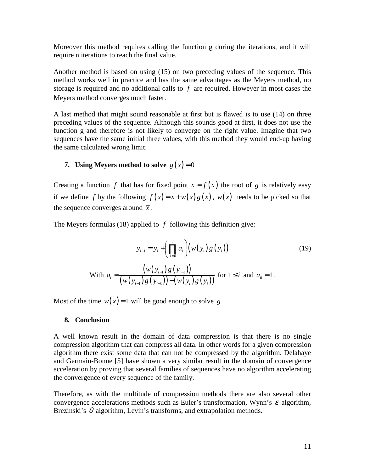Moreover this method requires calling the function g during the iterations, and it will require n iterations to reach the final value.

Another method is based on using (15) on two preceding values of the sequence. This method works well in practice and has the same advantages as the Meyers method, no storage is required and no additional calls to *f* are required. However in most cases the Meyers method converges much faster.

A last method that might sound reasonable at first but is flawed is to use (14) on three preceding values of the sequence. Although this sounds good at first, it does not use the function g and therefore is not likely to converge on the right value. Imagine that two sequences have the same initial three values, with this method they would end-up having the same calculated wrong limit.

### **7. Using Meyers method to solve**  $g(x) = 0$

Creating a function *f* that has for fixed point  $\bar{x} = f(\bar{x})$  the root of *g* is relatively easy if we define *f* by the following  $f(x) = x + w(x)g(x)$ ,  $w(x)$  needs to be picked so that the sequence converges around  $\bar{x}$ .

The Meyers formulas (18) applied to *f* following this definition give:

$$
y_{i+1} = y_i + \left(\prod_{i=0}^{i} a_i\right) \left(w(y_i) g(y_i)\right)
$$
  
\nWith 
$$
a_i = \frac{\left(w(y_{i-1}) g(y_{i-1})\right)}{\left(w(y_{i-1}) g(y_{i-1})\right) - \left(w(y_i) g(y_i)\right)}
$$
 for  $1 \le i$  and  $a_0 = 1$ .

Most of the time  $w(x) = 1$  will be good enough to solve g.

### **8. Conclusion**

A well known result in the domain of data compression is that there is no single compression algorithm that can compress all data. In other words for a given compression algorithm there exist some data that can not be compressed by the algorithm. Delahaye and Germain-Bonne [5] have shown a very similar result in the domain of convergence acceleration by proving that several families of sequences have no algorithm accelerating the convergence of every sequence of the family.

Therefore, as with the multitude of compression methods there are also several other convergence accelerations methods such as Euler's transformation, Wynn's  $\varepsilon$  algorithm, Brezinski's  $\theta$  algorithm, Levin's transforms, and extrapolation methods.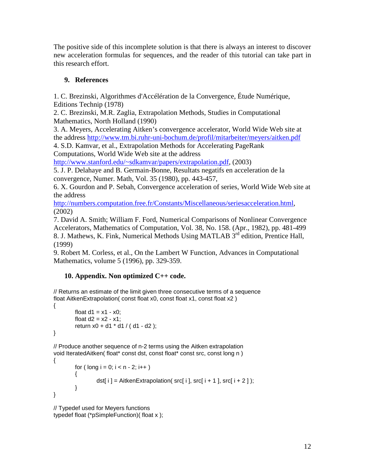The positive side of this incomplete solution is that there is always an interest to discover new acceleration formulas for sequences, and the reader of this tutorial can take part in this research effort.

# **9. References**

1. C. Brezinski, Algorithmes d'Accélération de la Convergence, Étude Numérique, Editions Technip (1978)

2. C. Brezinski, M.R. Zaglia, Extrapolation Methods, Studies in Computational Mathematics, North Holland (1990)

3. A. Meyers, Accelerating Aitken's convergence accelerator, World Wide Web site at the address http://www.tm.bi.ruhr-uni-bochum.de/profil/mitarbeiter/meyers/aitken.pdf

4. S.D. Kamvar, et al., Extrapolation Methods for Accelerating PageRank Computations, World Wide Web site at the address

http://www.stanford.edu/~sdkamvar/papers/extrapolation.pdf, (2003)

5. J. P. Delahaye and B. Germain-Bonne, Resultats negatifs en acceleration de la convergence, Numer. Math, Vol. 35 (1980), pp. 443-457,

6. X. Gourdon and P. Sebah, Convergence acceleration of series, World Wide Web site at the address

http://numbers.computation.free.fr/Constants/Miscellaneous/seriesacceleration.html, (2002)

7. David A. Smith; William F. Ford, Numerical Comparisons of Nonlinear Convergence Accelerators, Mathematics of Computation, Vol. 38, No. 158. (Apr., 1982), pp. 481-499 8. J. Mathews, K. Fink, Numerical Methods Using MATLAB 3<sup>rd</sup> edition, Prentice Hall, (1999)

9. Robert M. Corless, et al., On the Lambert W Function, Advances in Computational Mathematics, volume 5 (1996), pp. 329-359.

## **10. Appendix. Non optimized C++ code.**

// Returns an estimate of the limit given three consecutive terms of a sequence float AitkenExtrapolation( const float x0, const float x1, const float x2 )

```
{ 
         float d1 = x1 - x0;
         float d2 = x2 - x1;
          return x0 + d1 * d1 / ( d1 - d2 ); 
}
```
// Produce another sequence of n-2 terms using the Aitken extrapolation void IteratedAitken( float\* const dst, const float\* const src, const long n )

```
{ 
         for ( long i = 0; i < n - 2; i++) { 
                  dst[i] = AitkenExtrapolation( src[i], src[i + 1], src[i + 2]);
          } 
}
```
// Typedef used for Meyers functions typedef float (\*pSimpleFunction)( float x );